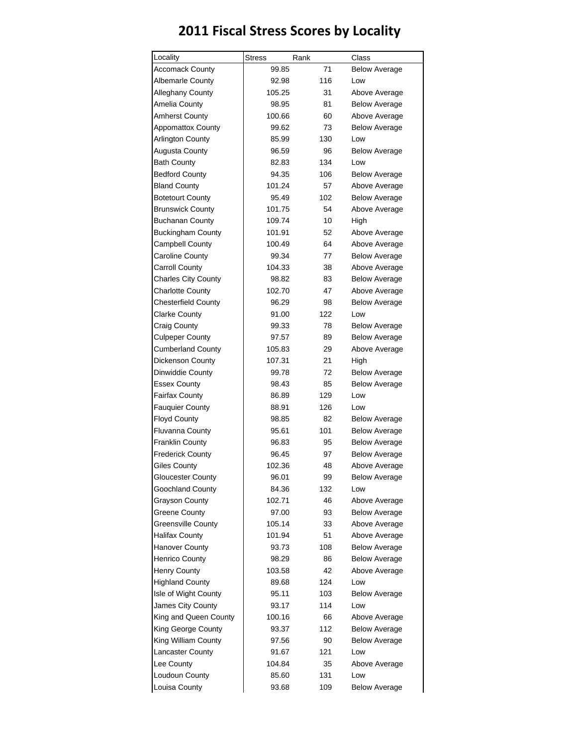## **2011 Fiscal Stress Scores by Locality**

| Locality                   | <b>Stress</b> | Rank | Class                |
|----------------------------|---------------|------|----------------------|
| <b>Accomack County</b>     | 99.85         | 71   | <b>Below Average</b> |
| <b>Albemarle County</b>    | 92.98         | 116  | Low                  |
| Alleghany County           | 105.25        | 31   | Above Average        |
| Amelia County              | 98.95         | 81   | <b>Below Average</b> |
| <b>Amherst County</b>      | 100.66        | 60   | Above Average        |
| <b>Appomattox County</b>   | 99.62         | 73   | <b>Below Average</b> |
| Arlington County           | 85.99         | 130  | Low                  |
| <b>Augusta County</b>      | 96.59         | 96   | <b>Below Average</b> |
| <b>Bath County</b>         | 82.83         | 134  | Low                  |
| <b>Bedford County</b>      | 94.35         | 106  | <b>Below Average</b> |
| <b>Bland County</b>        | 101.24        | 57   | Above Average        |
| <b>Botetourt County</b>    | 95.49         | 102  | <b>Below Average</b> |
| <b>Brunswick County</b>    | 101.75        | 54   | Above Average        |
| <b>Buchanan County</b>     | 109.74        | 10   | High                 |
| <b>Buckingham County</b>   | 101.91        | 52   | Above Average        |
| Campbell County            | 100.49        | 64   | Above Average        |
| <b>Caroline County</b>     | 99.34         | 77   | <b>Below Average</b> |
| <b>Carroll County</b>      | 104.33        | 38   | Above Average        |
| <b>Charles City County</b> | 98.82         | 83   | <b>Below Average</b> |
| <b>Charlotte County</b>    | 102.70        | 47   | Above Average        |
| <b>Chesterfield County</b> | 96.29         | 98   | <b>Below Average</b> |
| <b>Clarke County</b>       | 91.00         | 122  | Low                  |
| Craig County               | 99.33         | 78   | <b>Below Average</b> |
| <b>Culpeper County</b>     | 97.57         | 89   | <b>Below Average</b> |
| <b>Cumberland County</b>   | 105.83        | 29   | Above Average        |
| Dickenson County           | 107.31        | 21   | High                 |
| Dinwiddie County           | 99.78         | 72   | <b>Below Average</b> |
| <b>Essex County</b>        | 98.43         | 85   | <b>Below Average</b> |
| <b>Fairfax County</b>      | 86.89         | 129  | Low                  |
| <b>Fauquier County</b>     | 88.91         | 126  | Low                  |
| <b>Floyd County</b>        | 98.85         | 82   | <b>Below Average</b> |
| Fluvanna County            | 95.61         | 101  | Below Average        |
| <b>Franklin County</b>     | 96.83         | 95   | Below Average        |
| <b>Frederick County</b>    | 96.45         | 97   | <b>Below Average</b> |
| <b>Giles County</b>        | 102.36        | 48   | Above Average        |
| <b>Gloucester County</b>   | 96.01         | 99   | <b>Below Average</b> |
| Goochland County           | 84.36         | 132  | Low                  |
| <b>Grayson County</b>      | 102.71        | 46   | Above Average        |
| Greene County              | 97.00         | 93   | Below Average        |
| Greensville County         | 105.14        | 33   | Above Average        |
| <b>Halifax County</b>      | 101.94        | 51   | Above Average        |
| <b>Hanover County</b>      | 93.73         | 108  | Below Average        |
| Henrico County             | 98.29         | 86   | <b>Below Average</b> |
| Henry County               | 103.58        | 42   | Above Average        |
| <b>Highland County</b>     | 89.68         | 124  | Low                  |
| Isle of Wight County       | 95.11         | 103  | <b>Below Average</b> |
| James City County          | 93.17         | 114  | Low                  |
| King and Queen County      | 100.16        | 66   | Above Average        |
| King George County         | 93.37         | 112  | <b>Below Average</b> |
| King William County        | 97.56         | 90   | <b>Below Average</b> |
| <b>Lancaster County</b>    | 91.67         | 121  | Low                  |
| Lee County                 | 104.84        | 35   | Above Average        |
| Loudoun County             | 85.60         | 131  | Low                  |
| Louisa County              | 93.68         | 109  | <b>Below Average</b> |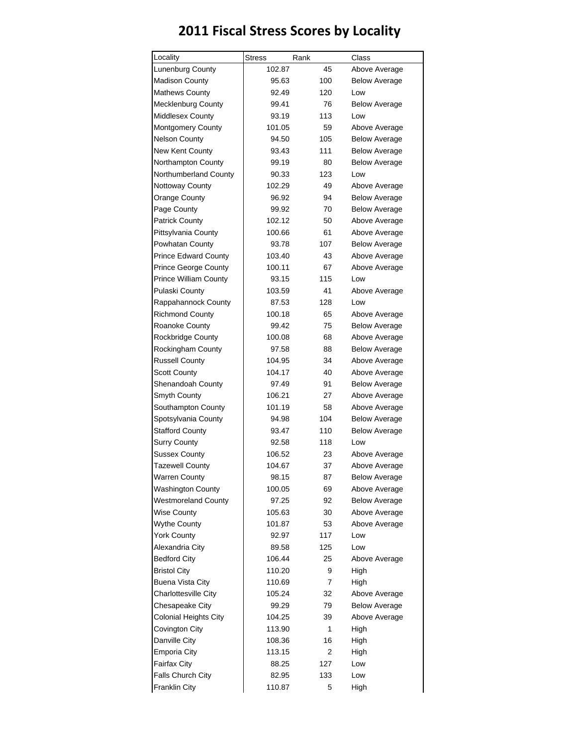## **2011 Fiscal Stress Scores by Locality**

| Lunenburg County             | 102.87 | 45  | Above Average        |
|------------------------------|--------|-----|----------------------|
|                              |        |     |                      |
| <b>Madison County</b>        | 95.63  | 100 | <b>Below Average</b> |
| <b>Mathews County</b>        | 92.49  | 120 | Low                  |
| Mecklenburg County           | 99.41  | 76  | <b>Below Average</b> |
| <b>Middlesex County</b>      | 93.19  | 113 | Low                  |
| Montgomery County            | 101.05 | 59  | Above Average        |
| <b>Nelson County</b>         | 94.50  | 105 | Below Average        |
| New Kent County              | 93.43  | 111 | Below Average        |
| Northampton County           | 99.19  | 80  | <b>Below Average</b> |
| Northumberland County        | 90.33  | 123 | Low                  |
| Nottoway County              | 102.29 | 49  | Above Average        |
| <b>Orange County</b>         | 96.92  | 94  | Below Average        |
| Page County                  | 99.92  | 70  | <b>Below Average</b> |
| Patrick County               | 102.12 | 50  | Above Average        |
| Pittsylvania County          | 100.66 | 61  | Above Average        |
| Powhatan County              | 93.78  | 107 | <b>Below Average</b> |
| <b>Prince Edward County</b>  | 103.40 | 43  | Above Average        |
| Prince George County         | 100.11 | 67  | Above Average        |
| <b>Prince William County</b> | 93.15  | 115 | Low                  |
| Pulaski County               | 103.59 | 41  | Above Average        |
| Rappahannock County          | 87.53  | 128 | Low                  |
| <b>Richmond County</b>       | 100.18 | 65  | Above Average        |
| Roanoke County               | 99.42  | 75  | Below Average        |
| Rockbridge County            | 100.08 | 68  | Above Average        |
| Rockingham County            | 97.58  | 88  | Below Average        |
| <b>Russell County</b>        | 104.95 | 34  | Above Average        |
| <b>Scott County</b>          | 104.17 | 40  | Above Average        |
| Shenandoah County            | 97.49  | 91  | Below Average        |
| Smyth County                 | 106.21 | 27  | Above Average        |
| Southampton County           | 101.19 | 58  | Above Average        |
| Spotsylvania County          | 94.98  | 104 | <b>Below Average</b> |
| <b>Stafford County</b>       | 93.47  | 110 | <b>Below Average</b> |
| <b>Surry County</b>          | 92.58  | 118 | Low                  |
| <b>Sussex County</b>         | 106.52 | 23  | Above Average        |
| <b>Tazewell County</b>       | 104.67 | 37  | Above Average        |
| <b>Warren County</b>         | 98.15  | 87  | <b>Below Average</b> |
| <b>Washington County</b>     | 100.05 | 69  | Above Average        |
| <b>Westmoreland County</b>   | 97.25  | 92  | <b>Below Average</b> |
| <b>Wise County</b>           | 105.63 | 30  | Above Average        |
| <b>Wythe County</b>          | 101.87 | 53  | Above Average        |
| <b>York County</b>           | 92.97  | 117 | Low                  |
| Alexandria City              | 89.58  | 125 | Low                  |
| <b>Bedford City</b>          | 106.44 | 25  | Above Average        |
| <b>Bristol City</b>          | 110.20 | 9   | High                 |
| Buena Vista City             | 110.69 | 7   | High                 |
| Charlottesville City         | 105.24 | 32  | Above Average        |
| Chesapeake City              | 99.29  | 79  | <b>Below Average</b> |
| <b>Colonial Heights City</b> | 104.25 | 39  | Above Average        |
| Covington City               | 113.90 | 1   | High                 |
| Danville City                | 108.36 | 16  | High                 |
| <b>Emporia City</b>          | 113.15 | 2   | High                 |
| <b>Fairfax City</b>          | 88.25  | 127 | Low                  |
| Falls Church City            | 82.95  | 133 | Low                  |
| Franklin City                | 110.87 | 5   | High                 |